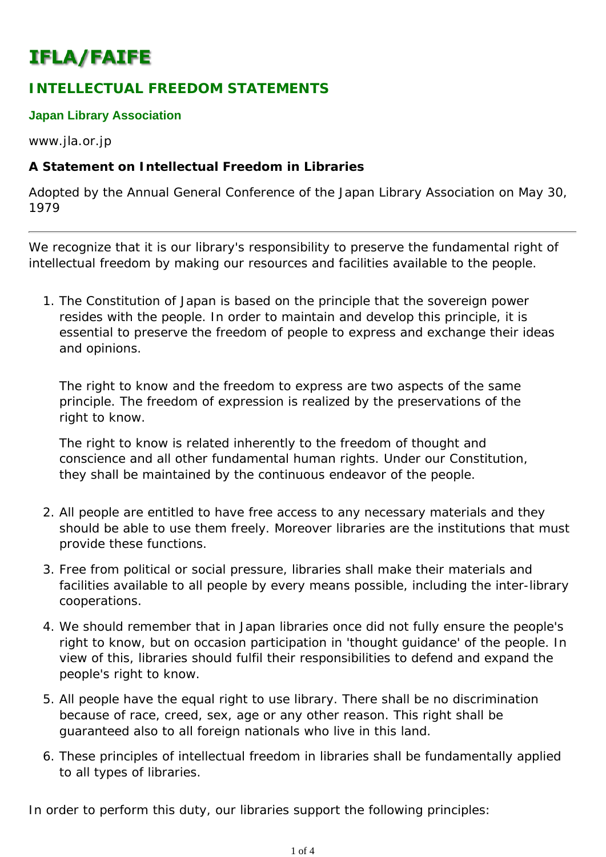# **IFLA/FAIFE**

# **INTELLECTUAL FREEDOM STATEMENTS**

#### **Japan Library Association**

www.jla.or.jp

### **A Statement on Intellectual Freedom in Libraries**

*Adopted by the Annual General Conference of the Japan Library Association on May 30, 1979*

We recognize that it is our library's responsibility to preserve the fundamental right of intellectual freedom by making our resources and facilities available to the people.

1. The Constitution of Japan is based on the principle that the sovereign power resides with the people. In order to maintain and develop this principle, it is essential to preserve the freedom of people to express and exchange their ideas and opinions.

The right to know and the freedom to express are two aspects of the same principle. The freedom of expression is realized by the preservations of the right to know.

The right to know is related inherently to the freedom of thought and conscience and all other fundamental human rights. Under our Constitution, they shall be maintained by the continuous endeavor of the people.

- All people are entitled to have free access to any necessary materials and they 2. should be able to use them freely. Moreover libraries are the institutions that must provide these functions.
- Free from political or social pressure, libraries shall make their materials and 3. facilities available to all people by every means possible, including the inter-library cooperations.
- We should remember that in Japan libraries once did not fully ensure the people's 4. right to know, but on occasion participation in 'thought guidance' of the people. In view of this, libraries should fulfil their responsibilities to defend and expand the people's right to know.
- All people have the equal right to use library. There shall be no discrimination 5. because of race, creed, sex, age or any other reason. This right shall be guaranteed also to all foreign nationals who live in this land.
- These principles of intellectual freedom in libraries shall be fundamentally applied 6. to all types of libraries.

In order to perform this duty, our libraries support the following principles: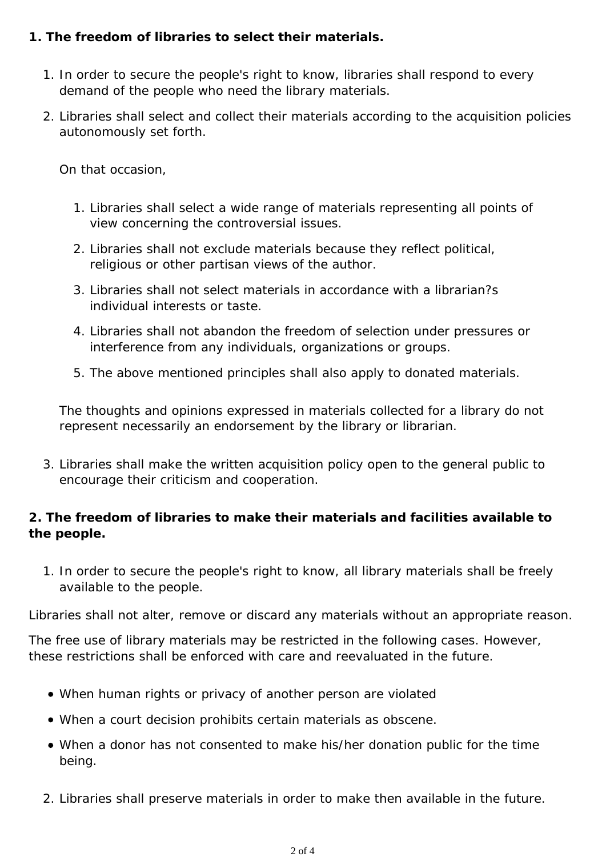### **1. The freedom of libraries to select their materials.**

- 1. In order to secure the people's right to know, libraries shall respond to every demand of the people who need the library materials.
- 2. Libraries shall select and collect their materials according to the acquisition policies autonomously set forth.

On that occasion,

- 1. Libraries shall select a wide range of materials representing all points of view concerning the controversial issues.
- 2. Libraries shall not exclude materials because they reflect political, religious or other partisan views of the author.
- Libraries shall not select materials in accordance with a librarian?s 3. individual interests or taste.
- 4. Libraries shall not abandon the freedom of selection under pressures or interference from any individuals, organizations or groups.
- 5. The above mentioned principles shall also apply to donated materials.

The thoughts and opinions expressed in materials collected for a library do not represent necessarily an endorsement by the library or librarian.

3. Libraries shall make the written acquisition policy open to the general public to encourage their criticism and cooperation.

## **2. The freedom of libraries to make their materials and facilities available to the people.**

1. In order to secure the people's right to know, all library materials shall be freely available to the people.

Libraries shall not alter, remove or discard any materials without an appropriate reason.

The free use of library materials may be restricted in the following cases. However, these restrictions shall be enforced with care and reevaluated in the future.

- When human rights or privacy of another person are violated
- When a court decision prohibits certain materials as obscene.
- When a donor has not consented to make his/her donation public for the time being.
- 2. Libraries shall preserve materials in order to make then available in the future.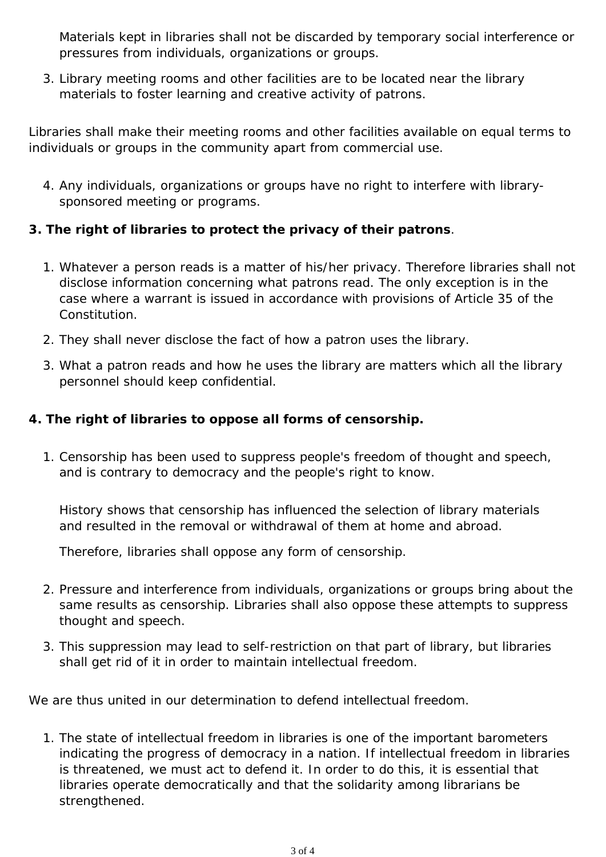Materials kept in libraries shall not be discarded by temporary social interference or pressures from individuals, organizations or groups.

Library meeting rooms and other facilities are to be located near the library 3. materials to foster learning and creative activity of patrons.

Libraries shall make their meeting rooms and other facilities available on equal terms to individuals or groups in the community apart from commercial use.

4. Any individuals, organizations or groups have no right to interfere with librarysponsored meeting or programs.

### **3. The right of libraries to protect the privacy of their patrons**.

- Whatever a person reads is a matter of his/her privacy. Therefore libraries shall not 1. disclose information concerning what patrons read. The only exception is in the case where a warrant is issued in accordance with provisions of Article 35 of the Constitution.
- 2. They shall never disclose the fact of how a patron uses the library.
- What a patron reads and how he uses the library are matters which all the library 3. personnel should keep confidential.

### **4. The right of libraries to oppose all forms of censorship.**

1. Censorship has been used to suppress people's freedom of thought and speech, and is contrary to democracy and the people's right to know.

History shows that censorship has influenced the selection of library materials and resulted in the removal or withdrawal of them at home and abroad.

Therefore, libraries shall oppose any form of censorship.

- 2. Pressure and interference from individuals, organizations or groups bring about the same results as censorship. Libraries shall also oppose these attempts to suppress thought and speech.
- 3. This suppression may lead to self-restriction on that part of library, but libraries shall get rid of it in order to maintain intellectual freedom.

We are thus united in our determination to defend intellectual freedom.

1. The state of intellectual freedom in libraries is one of the important barometers indicating the progress of democracy in a nation. If intellectual freedom in libraries is threatened, we must act to defend it. In order to do this, it is essential that libraries operate democratically and that the solidarity among librarians be strengthened.